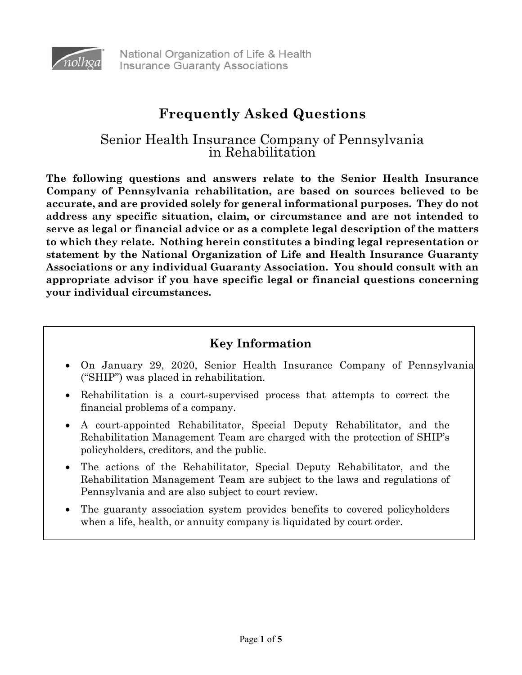

# **Frequently Asked Questions**

# Senior Health Insurance Company of Pennsylvania in Rehabilitation

**The following questions and answers relate to the Senior Health Insurance Company of Pennsylvania rehabilitation, are based on sources believed to be accurate, and are provided solely for general informational purposes. They do not address any specific situation, claim, or circumstance and are not intended to serve as legal or financial advice or as a complete legal description of the matters to which they relate. Nothing herein constitutes a binding legal representation or statement by the National Organization of Life and Health Insurance Guaranty Associations or any individual Guaranty Association. You should consult with an appropriate advisor if you have specific legal or financial questions concerning your individual circumstances.** 

# **Key Information**

- On January 29, 2020, Senior Health Insurance Company of Pennsylvania ("SHIP") was placed in rehabilitation.
- Rehabilitation is a court-supervised process that attempts to correct the financial problems of a company.
- A court-appointed Rehabilitator, Special Deputy Rehabilitator, and the Rehabilitation Management Team are charged with the protection of SHIP's policyholders, creditors, and the public.
- The actions of the Rehabilitator, Special Deputy Rehabilitator, and the Rehabilitation Management Team are subject to the laws and regulations of Pennsylvania and are also subject to court review.
- The guaranty association system provides benefits to covered policyholders when a life, health, or annuity company is liquidated by court order.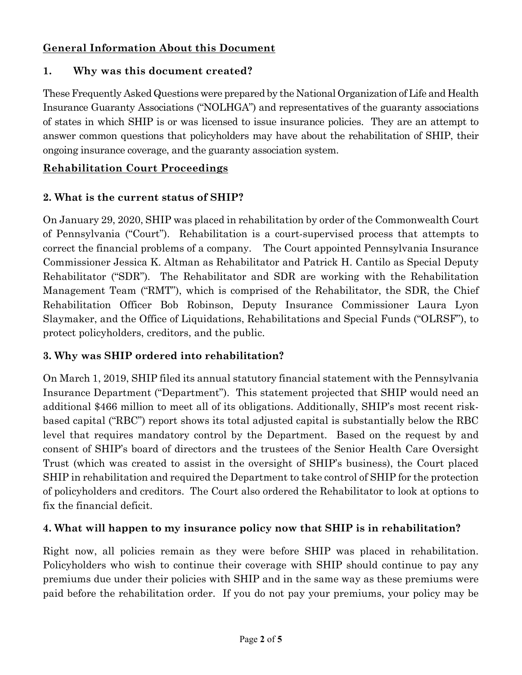## **General Information About this Document**

### **1. Why was this document created?**

These Frequently Asked Questions were prepared by the National Organization of Life and Health Insurance Guaranty Associations ("NOLHGA") and representatives of the guaranty associations of states in which SHIP is or was licensed to issue insurance policies. They are an attempt to answer common questions that policyholders may have about the rehabilitation of SHIP, their ongoing insurance coverage, and the guaranty association system.

## **Rehabilitation Court Proceedings**

## **2. What is the current status of SHIP?**

On January 29, 2020, SHIP was placed in rehabilitation by order of the Commonwealth Court of Pennsylvania ("Court"). Rehabilitation is a court-supervised process that attempts to correct the financial problems of a company. The Court appointed Pennsylvania Insurance Commissioner Jessica K. Altman as Rehabilitator and Patrick H. Cantilo as Special Deputy Rehabilitator ("SDR"). The Rehabilitator and SDR are working with the Rehabilitation Management Team ("RMT"), which is comprised of the Rehabilitator, the SDR, the Chief Rehabilitation Officer Bob Robinson, Deputy Insurance Commissioner Laura Lyon Slaymaker, and the Office of Liquidations, Rehabilitations and Special Funds ("OLRSF"), to protect policyholders, creditors, and the public.

## **3. Why was SHIP ordered into rehabilitation?**

On March 1, 2019, SHIP filed its annual statutory financial statement with the Pennsylvania Insurance Department ("Department"). This statement projected that SHIP would need an additional \$466 million to meet all of its obligations. Additionally, SHIP's most recent riskbased capital ("RBC") report shows its total adjusted capital is substantially below the RBC level that requires mandatory control by the Department. Based on the request by and consent of SHIP's board of directors and the trustees of the Senior Health Care Oversight Trust (which was created to assist in the oversight of SHIP's business), the Court placed SHIP in rehabilitation and required the Department to take control of SHIP for the protection of policyholders and creditors. The Court also ordered the Rehabilitator to look at options to fix the financial deficit.

#### **4. What will happen to my insurance policy now that SHIP is in rehabilitation?**

Right now, all policies remain as they were before SHIP was placed in rehabilitation. Policyholders who wish to continue their coverage with SHIP should continue to pay any premiums due under their policies with SHIP and in the same way as these premiums were paid before the rehabilitation order. If you do not pay your premiums, your policy may be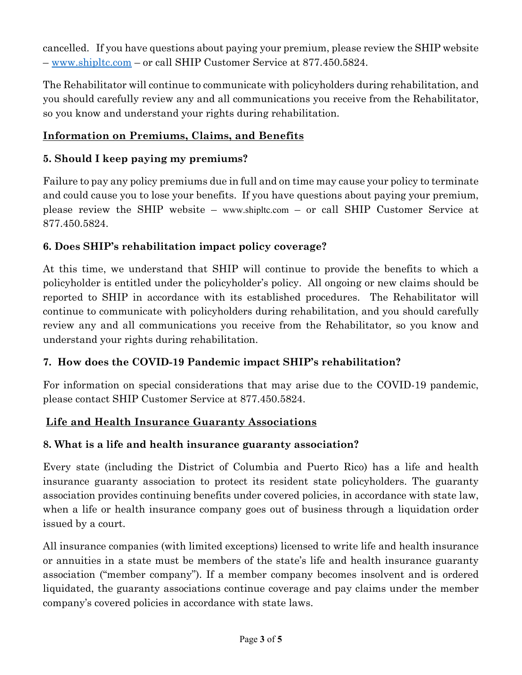cancelled. If you have questions about paying your premium, please review the SHIP website – [www.shipltc.com](http://www.shipltc.com/) – or call SHIP Customer Service at 877.450.5824.

The Rehabilitator will continue to communicate with policyholders during rehabilitation, and you should carefully review any and all communications you receive from the Rehabilitator, so you know and understand your rights during rehabilitation.

## **Information on Premiums, Claims, and Benefits**

#### **5. Should I keep paying my premiums?**

Failure to pay any policy premiums due in full and on time may cause your policy to terminate and could cause you to lose your benefits. If you have questions about paying your premium, please review the SHIP website – [www.shipltc.com](http://www.shipltc.com/) – or call SHIP Customer Service at 877.450.5824.

#### **6. Does SHIP's rehabilitation impact policy coverage?**

At this time, we understand that SHIP will continue to provide the benefits to which a policyholder is entitled under the policyholder's policy. All ongoing or new claims should be reported to SHIP in accordance with its established procedures. The Rehabilitator will continue to communicate with policyholders during rehabilitation, and you should carefully review any and all communications you receive from the Rehabilitator, so you know and understand your rights during rehabilitation.

#### **7. How does the COVID-19 Pandemic impact SHIP's rehabilitation?**

For information on special considerations that may arise due to the COVID-19 pandemic, please contact SHIP Customer Service at 877.450.5824.

#### **Life and Health Insurance Guaranty Associations**

#### **8. What is a life and health insurance guaranty association?**

Every state (including the District of Columbia and Puerto Rico) has a life and health insurance guaranty association to protect its resident state policyholders. The guaranty association provides continuing benefits under covered policies, in accordance with state law, when a life or health insurance company goes out of business through a liquidation order issued by a court.

All insurance companies (with limited exceptions) licensed to write life and health insurance or annuities in a state must be members of the state's life and health insurance guaranty association ("member company"). If a member company becomes insolvent and is ordered liquidated, the guaranty associations continue coverage and pay claims under the member company's covered policies in accordance with state laws.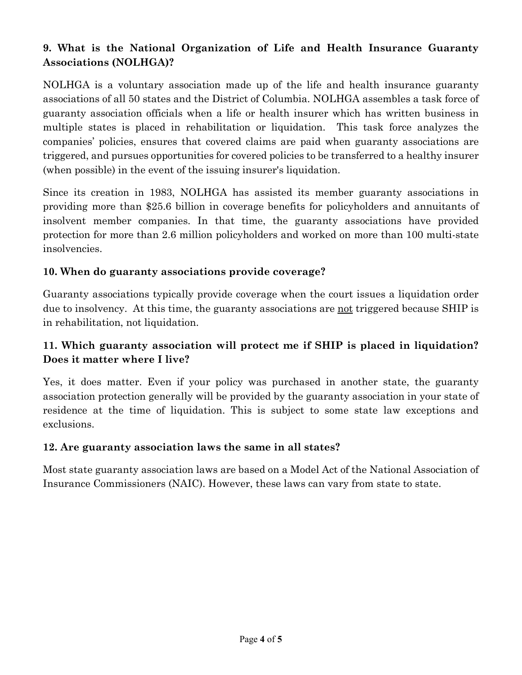## **9. What is the National Organization of Life and Health Insurance Guaranty Associations (NOLHGA)?**

NOLHGA is a voluntary association made up of the life and health insurance guaranty associations of all 50 states and the District of Columbia. NOLHGA assembles a task force of guaranty association officials when a life or health insurer which has written business in multiple states is placed in rehabilitation or liquidation. This task force analyzes the companies' policies, ensures that covered claims are paid when guaranty associations are triggered, and pursues opportunities for covered policies to be transferred to a healthy insurer (when possible) in the event of the issuing insurer's liquidation.

Since its creation in 1983, NOLHGA has assisted its member guaranty associations in providing more than \$25.6 billion in coverage benefits for policyholders and annuitants of insolvent member companies. In that time, the guaranty associations have provided protection for more than 2.6 million policyholders and worked on more than 100 multi-state insolvencies.

#### **10. When do guaranty associations provide coverage?**

Guaranty associations typically provide coverage when the court issues a liquidation order due to insolvency. At this time, the guaranty associations are not triggered because SHIP is in rehabilitation, not liquidation.

#### **11. Which guaranty association will protect me if SHIP is placed in liquidation? Does it matter where I live?**

Yes, it does matter. Even if your policy was purchased in another state, the guaranty association protection generally will be provided by the guaranty association in your state of residence at the time of liquidation. This is subject to some state law exceptions and exclusions.

#### **12. Are guaranty association laws the same in all states?**

Most state guaranty association laws are based on a Model Act of the National Association of Insurance Commissioners (NAIC). However, these laws can vary from state to state.